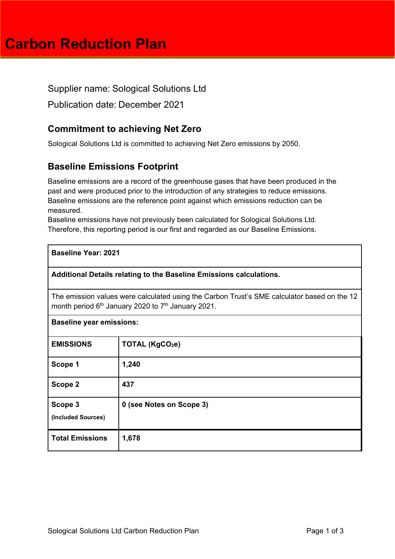# **Carbon Reduction Plan**

Supplier name: Sological Solutions Ltd

Publication date: December 2021

## **Commitment to achieving Net Zero**

Sological Solutions Ltd is committed to achieving Net Zero emissions by 2050.

## **Baseline Emissions Footprint**

Baseline emissions are a record of the greenhouse gases that have been produced in the past and were produced prior to the introduction of any strategies to reduce emissions. Baseline emissions are the reference point against which emissions reduction can be measured.

Baseline emissions have not previously been calculated for Sological Solutions Ltd. Therefore, this reporting period is our first and regarded as our Baseline Emissions.

| <b>Baseline Year: 2021</b> |  |
|----------------------------|--|
|----------------------------|--|

**Additional Details relating to the Baseline Emissions calculations.** 

The emission values were calculated using the Carbon Trust's SME calculator based on the 12 month period 6<sup>th</sup> January 2020 to 7<sup>th</sup> January 2021.

| <b>Baseline year emissions:</b> |                             |  |
|---------------------------------|-----------------------------|--|
| <b>EMISSIONS</b>                | TOTAL (KgCO <sub>2</sub> e) |  |
| Scope 1                         | 1,240                       |  |
| Scope 2                         | 437                         |  |
| Scope 3<br>(Included Sources)   | 0 (see Notes on Scope 3)    |  |
| <b>Total Emissions</b>          | 1,678                       |  |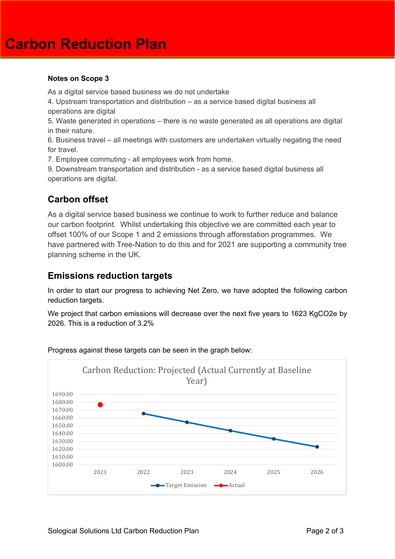#### **Notes on Scope 3**

As a digital service based business we do not undertake

4. Upstream transportation and distribution – as a service based digital business all operations are digital

5. Waste generated in operations – there is no waste generated as all operations are digital in their nature.

6. Business travel – all meetings with customers are undertaken virtually negating the need for travel.

7. Employee commuting - all employees work from home.

9. Downstream transportation and distribution - as a service based digital business all operations are digital.

### **Carbon offset**

As a digital service based business we continue to work to further reduce and balance our carbon footprint. Whilst undertaking this objective we are committed each year to offset 100% of our Scope 1 and 2 emissions through afforestation programmes. We have partnered with Tree-Nation to do this and for 2021 are supporting a community tree planning scheme in the UK.

#### **Emissions reduction targets**

In order to start our progress to achieving Net Zero, we have adopted the following carbon reduction targets.

We project that carbon emissions will decrease over the next five years to 1623 KgCO2e by 2026. This is a reduction of 3.2%



Progress against these targets can be seen in the graph below: